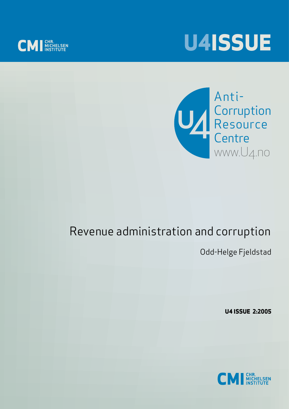





# Revenue administration and corruption

Odd-Helge Fjeldstad

**U4 ISSUE 2:2005**

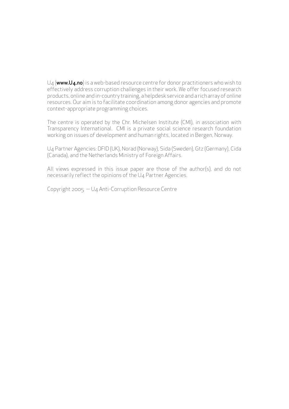$U_4$  (www.U4.no) is a web-based resource centre for donor practitioners who wish to effectively address corruption challenges in their work. We offer focused research products, online and in-country training, a helpdesk service and a rich array of online resources. Our aim is to facilitate coordination among donor agencies and promote context-appropriate programming choices.

The centre is operated by the Chr. Michelsen Institute (CMI), in association with Transparency International. CMI is a private social science research foundation working on issues of development and human rights, located in Bergen, Norway.

U4 Partner Agencies: DFID (UK), Norad (Norway), Sida (Sweden), Gtz (Germany), Cida (Canada), and the Netherlands Ministry of Foreign Affairs.

All views expressed in this issue paper are those of the author(s), and do not necessarily reflect the opinions of the U4 Partner Agencies.

Copyright 2005 — U4 Anti-Corruption Resource Centre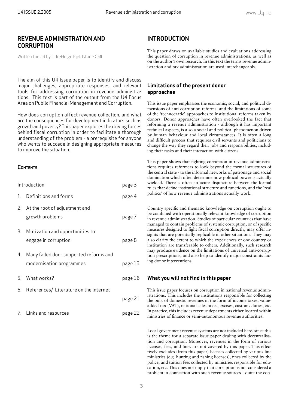## **REVENUE ADMINISTRATION AND CORRUPTION**

Written for U4 by Odd-Helge Fjeldstad - CMI

The aim of this U4 Issue paper is to identify and discuss major challenges, appropriate responses, and relevant tools for addressing corruption in revenue administrations. This text is part of the output from the U4 Focus Area on Public Financial Management and Corruption.

How does corruption affect revenue collection, and what are the consequences for development indicators such as growth and poverty? This paper explores the driving forces behind fiscal corruption in order to facilitate a thorough understanding of the problem - a prerequisite for anyone who wants to succede in designing appropriate measures to improve the situation.

#### **CONTENTS**

| Introduction |                                                                       | page 3  |
|--------------|-----------------------------------------------------------------------|---------|
|              | 1. Definitions and forms                                              | page 4  |
|              | 2. At the root of adjustment and<br>growth problems                   | page 7  |
|              | 3. Motivation and opportunities to<br>engage in corruption            | page 8  |
|              | 4. Many failed door supported reforms and<br>modernisation programmes | page 13 |
|              | 5. What works?                                                        | page 16 |
|              | 6. References/ Literature on the internet                             |         |
|              |                                                                       | page 21 |
|              | 7. Links and resources                                                | page 22 |

# **INTRODUCTION**

This paper draws on available studies and evaluations addressing the question of corruption in revenue administrations, as well as on the author's own research. In this text the terms revenue administration and tax administration are used interchangeably.

## **Limitations of the present donor approaches**

This issue paper emphasises the economic, social, and political dimensions of anti-corruption reforms, and the limitations of some of the 'technocratic' approaches to institutional reforms taken by donors. Donor approaches have often overlooked the fact that reforming a revenue administration - although it has important technical aspects, is also a social and political phenomenon driven by human behaviour and local circumstances. It is often a long and difficult process that requires civil servants and politicians to change the way they regard their jobs and responsibilities, including their tasks and their interaction with citizens.

This paper shows that fighting corruption in revenue administrations requires reformers to look beyond the formal structures of the central state - to the informal networks of patronage and social domination which often determine how political power is actually wielded. There is often an acute disjuncture between the formal rules that define institutional structure and functions, and the 'real politics' of how revenue administrations actually work.

Country specific and thematic knowledge on corruption ought to be combined with operationally relevant knowledge of corruption in revenue administration. Studies of particular countries that have managed to contain problems of systemic corruption, or of specific measures designed to fight fiscal corruption directly, may offer insights that are potentially replicable in other situations. They may also clarify the extent to which the experiences of one country or institution are transferable to others. Additionally, such research may produce evidence on the limitations of universal anti-corruption prescriptions, and also help to identify major constraints facing donor interventions.

#### **What you will not find in this paper**

This issue paper focuses on corruption in national revenue administrations. This includes the institutions responsible for collecting the bulk of domestic revenues in the form of income taxes, valueadded-tax (VAT), national sales taxes, excises, customs duties, etc. In practice, this includes revenue departments either located within ministries of finance or semi-autonomous revenue authorities.

Local government revenue systems are not included here, since this is the theme for a separate issue paper dealing with decentralisation and corruption. Moreover, revenues in the form of various licenses, fees, and fines are not covered by this paper. This effectively excludes (from this paper) licenses collected by various line ministries (e.g. hunting and fishing licenses), fines collected by the police, and tuition fees collected by ministries responsible for education, etc. This does not imply that corruption is not considered a problem in connection with such revenue sources - quite the con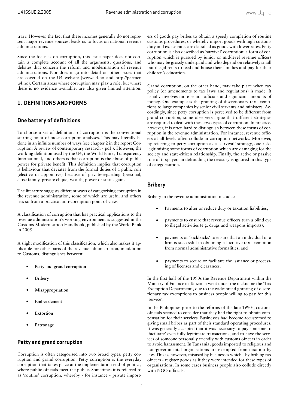trary. However, the fact that these incomes generally do not represent major revenue sources, leads us to focus on national revenue administrations.

Since the focus is on corruption, this issue paper does not contain a complete account of all the arguments, questions, and debates that concern the reform and modernisation of revenue administrations. Nor does it go into detail on other issues that are covered on the U4 website (www.u4.no and http://partner. u4.no). Certain areas where corruption may play a role, but where there is no evidence available, are also given limited attention.

## **1. DEFINITIONS AND FORMS**

## **One battery of definitions**

To choose a set of definitions of corruption is the conventional starting point of most corruption analyses. This may literally be done in an infinite number of ways (see chapter 2 in the report Corruption: A review of contemporary research - pdf ). However, the working definition used by the U4, the World Bank, Transparency International, and others is that corruption is the abuse of public power for private benefit. This definition implies that corruption is behaviour that deviates from the formal duties of a public role (elective or appointive) because of private-regarding (personal, close family, private clique) wealth, power or status gains

The literature suggests different ways of categorising corruption in the revenue administration, some of which are useful and others less so from a practical anti-corruption point of view.

A classification of corruption that has practical applications to the revenue administration's working environment is suggested in the Customs Modernisation Handbook, published by the World Bank in 2005

A slight modification of this classification, which also makes it applicable for other parts of the revenue administration, in addition to Customs, distinguishes between:

- **Petty and grand corruption •**
- **Bribery •**
- **Misappropriation •**
- **Embezzlement •**
- **Extortion •**
- **Patronage •**

#### **Petty and grand corruption**

Corruption is often categorised into two broad types: petty corruption and grand corruption. Petty corruption is the everyday corruption that takes place at the implementation end of politics, where public officials meet the public. Sometimes it is referred to as 'routine' corruption, whereby - for instance - private importers of goods pay bribes to obtain a speedy completion of routine customs procedures, or whereby import goods with high customs duty and excise rates are classified as goods with lower rates. Petty corruption is also described as 'survival' corruption; a form of corruption which is pursued by junior or mid-level revenue officers who may be grossly underpaid and who depend on relatively small but illegal rents to feed and house their families and pay for their children's education.

Grand corruption, on the other hand, may take place when tax policy (or amendments to tax laws and regulations) is made. It usually involves more senior officials and significant amounts of money. One example is the granting of discretionary tax exemptions to large companies by senior civil servants and ministers. Accordingly, since petty corruption is perceived to be different from grand corruption, some observers argue that different strategies are required to deal with these two types of corruption. In practice, however, it is often hard to distinguish between these forms of corruption in the revenue administration. For instance, revenue officers at all levels often collude in corruption networks. Moreover, by referring to petty corruption as a 'survival' strategy, one risks legitimising some forms of corruption which are damaging for the society and state-citizen relationship. Finally, the active or passive role of taxpayers in defrauding the treasury is ignored in this type of categorisation.

#### **Bribery**

Bribery in the revenue administration includes:

- Payments to alter or reduce duty or taxation liabilities,
- payments to ensure that revenue officers turn a blind eye to illegal activities (e.g. drugs and weapons imports),
- payments or 'kickbacks' to ensure that an individual or a firm is successful in obtaining a lucrative tax exemption from normal administrative formalities, and
- payments to secure or facilitate the issuance or processing of licenses and clearances.

In the first half of the 1990s the Revenue Department within the Ministry of Finance in Tanzania went under the nickname the 'Tax Exemption Department', due to the widespread granting of discretionary tax exemptions to business people willing to pay for this 'service'.

In the Philippines prior to the reforms of the late 1990s, customs officials seemed to consider that they had the right to obtain compensation for their services. Businesses had become accustomed to giving small bribes as part of their standard operating procedures. It was generally accepted that it was necessary to pay someone to 'facilitate' even fully legitimate transactions, and to have the services of someone personally friendly with customs officers in order to avoid harassment. In Tanzania, goods imported to religious and non-governmental organisations are exempted from taxation by law. This is, however, misused by businesses which - by bribing tax officers - register goods as if they were intended for these types of organisations. In some cases business people also collude directly with NGO officials.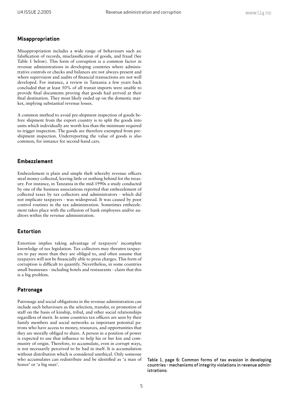#### **Misappropriation**

Misappropriation includes a wide range of behaviours such as: falsification of records, misclassification of goods, and fraud (See Table 1 below). This form of corruption is a common factor in revenue administrations in developing countries where administrative controls or checks and balances are not always present and where supervision and audits of financial transactions are not well developed. For instance, a review in Tanzania a few years back concluded that at least 50% of all transit imports were unable to provide final documents proving that goods had arrived at their final destination. They most likely ended up on the domestic market, implying substantial revenue losses.

A common method to avoid pre-shipment inspection of goods before shipment from the export country is to split the goods into units which individually are worth less than the minimum required to trigger inspection. The goods are therefore exempted from preshipment inspection. Underreporting the value of goods is also common, for instance for second-hand cars.

#### **Embezzlement**

Embezzlement is plain and simple theft whereby revenue officers steal money collected, leaving little or nothing behind for the treasury. For instance, in Tanzania in the mid-1990s a study conducted by one of the business associations reported that embezzlement of collected taxes by tax collectors and administrators - which did not implicate taxpayers - was widespread. It was caused by poor control routines in the tax administration. Sometimes embezzlement takes place with the collusion of bank employees and/or auditors within the revenue administration.

#### **Extortion**

Extortion implies taking advantage of taxpayers' incomplete knowledge of tax legislation. Tax collectors may threaten taxpayers to pay more than they are obliged to, and often assume that taxpayers will not be financially able to press charges. This form of corruption is difficult to quantify. Nevertheless, in some countries small businesses - including hotels and restaurants - claim that this is a big problem.

#### **Patronage**

Patronage and social obligations in the revenue administration can include such behaviours as the selection, transfer, or promotion of staff on the basis of kinship, tribal, and other social relationships regardless of merit. In some countries tax officers are seen by their family members and social networks as important potential patrons who have access to money, resources, and opportunities that they are morally obliged to share. A person in a position of power is expected to use that influence to help his or her kin and community of origin. Therefore, to accumulate, even in corrupt ways, is not necessarily perceived to be bad in itself. It is accumulation without distribution which is considered unethical. Only someone who accumulates can redistribute and be identified as 'a man of honor' or 'a big man'.

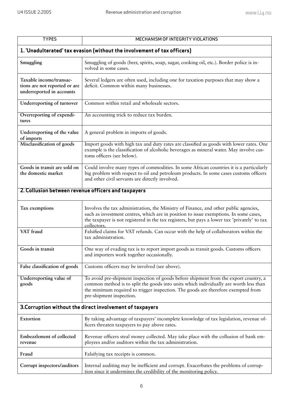| <b>TYPES</b>                                                                          | MECHANISM OF INTEGRITY VIOLATIONS                                                                                                                                                                                                                                                              |  |  |
|---------------------------------------------------------------------------------------|------------------------------------------------------------------------------------------------------------------------------------------------------------------------------------------------------------------------------------------------------------------------------------------------|--|--|
| 1. 'Unadulterated' tax evasion (without the involvement of tax officers)              |                                                                                                                                                                                                                                                                                                |  |  |
| Smuggling                                                                             | Smuggling of goods (beer, spirits, soap, sugar, cooking oil, etc.). Border police is in-<br>volved in some cases.                                                                                                                                                                              |  |  |
| Taxable income/transac-<br>tions are not reported or are<br>underreported in accounts | Several ledgers are often used, including one for taxation purposes that may show a<br>deficit. Common within many businesses.                                                                                                                                                                 |  |  |
| Underreporting of turnover                                                            | Common within retail and wholesale sectors.                                                                                                                                                                                                                                                    |  |  |
| Overreporting of expendi-<br>tures                                                    | An accounting trick to reduce tax burden.                                                                                                                                                                                                                                                      |  |  |
| Underreporting of the value<br>of imports                                             | A general problem in imports of goods.                                                                                                                                                                                                                                                         |  |  |
| Misclassification of goods                                                            | Import goods with high tax and duty rates are classified as goods with lower rates. One<br>example is the classification of alcoholic beverages as mineral water. May involve cus-<br>toms officers (see below).                                                                               |  |  |
| Goods in transit are sold on<br>the domestic market                                   | Could involve many types of commodities. In some African countries it is a particularly<br>big problem with respect to oil and petroleum products. In some cases customs officers<br>and other civil servants are directly involved.                                                           |  |  |
| 2. Collusion between revenue officers and taxpayers                                   |                                                                                                                                                                                                                                                                                                |  |  |
| Tax exemptions                                                                        | Involves the tax administration, the Ministry of Finance, and other public agencies,<br>such as investment centres, which are in position to issue exemptions. In some cases,<br>the taxpayer is not registered in the tax registers, but pays a lower tax 'privately' to tax<br>collectors.   |  |  |
| VAT fraud                                                                             | Falsified claims for VAT refunds. Can occur with the help of collaborators within the<br>tax administration.                                                                                                                                                                                   |  |  |
| Goods in transit                                                                      | One way of evading tax is to report import goods as transit goods. Customs officers<br>and importers work together occasionally.                                                                                                                                                               |  |  |
| False classification of goods                                                         | Customs officers may be involved (see above).                                                                                                                                                                                                                                                  |  |  |
| Underreporting value of<br>goods                                                      | To avoid pre-shipment inspection of goods before shipment from the export country, a<br>common method is to split the goods into units which individually are worth less than<br>the minimum required to trigger inspection. The goods are therefore exempted from<br>pre-shipment inspection. |  |  |
| 3. Corruption without the direct involvement of taxpayers                             |                                                                                                                                                                                                                                                                                                |  |  |
| Extortion                                                                             | By taking advantage of taxpayers' incomplete knowledge of tax legislation, revenue of-<br>ficers threaten taxpayers to pay above rates.                                                                                                                                                        |  |  |
| Embezzlement of collected<br>revenue                                                  | Revenue officers steal money collected. May take place with the collusion of bank em-<br>ployees and/or auditors within the tax administration.                                                                                                                                                |  |  |
| Fraud                                                                                 | Falsifying tax receipts is common.                                                                                                                                                                                                                                                             |  |  |
| Corrupt inspectors/auditors                                                           | Internal auditing may be inefficient and corrupt. Exacerbates the problems of corrup-<br>tion since it undermines the credibility of the monitoring policy.                                                                                                                                    |  |  |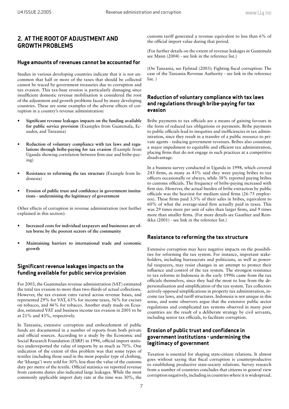## **2. AT THE ROOT OF ADJUSTMENT AND GROWTH PROBLEMS**

#### **Huge amounts of revenues cannot be accounted for**

Studies in various developing countries indicate that it is not uncommon that half or more of the taxes that should be collected cannot be traced by government treasuries due to corruption and tax evasion. This tax-base erosion is particularly damaging since insufficient domestic revenue mobilisation is considered the root of the adjustment and growth problems faced by many developing countries. These are some examples of the adverse effects of corruption in a country's revenue administration:

- Significant revenue leakages impacts on the funding available **for public service provision** (Examples from Guatemala, Ecuador, and Tanzania) **•**
- **Reduction of voluntary compliance with tax laws and regulations through bribe-paying for tax evasion** (Example from Uganda showing correlation between firm-size and bribe-paying) **•**
- **Resistance to reforming the tax structure** (Example from Indonesia) **•**
- Erosion of public trust and confidence in government institu**tions - undermining the legitimacy of government •**

Other effects of corruption in revenue administration (not further explained in this section):

- **Increased costs for individual taxpayers and businesses are often borne by the poorest sectors of the community •**
- **Maintaining barriers to international trade and economic growth •**

#### **Significant revenue leakages impacts on the funding available for public service provision**

For 2003, the Guatemalan revenue administration (SAT) estimated the total tax evasion to more than two-thirds of actual collections. However, the tax evasion rates varied across revenue bases, and represented 29% for VAT, 63% for income taxes, 56% for excises on tobacco, and 46% for tobacco. Another study made on Ecuador, estimated VAT and business income tax evasion in 2001 to be at 21% and 43%, respectively.

In Tanzania, extensive corruption and embezzlement of public funds are documented in a number of reports from both private and official sources. According to a study by the Economic and Social Research Foundation (ESRF) in 1996, official import statistics underreported the value of imports by as much as 70%. One indication of the extent of this problem was that some types of textiles (including those used in the most popular type of clothing, the 'khanga') were sold for 30% less than the value of the customs duty per metre of the textile. Official statistics on reported revenue from customs duties also indicated large leakages. While the most commonly applicable import duty rate at the time was 30%, the

customs tariff generated a revenue equivalent to less than 6% of the official import value during that period.

(For further details on the extent of revenue leakages in Guatemala see Mann (2004) - see link in the reference list.)

(On Tanzania, see Fjelstad (2003): Fighting fiscal corruption: The case of the Tanzania Revenue Authority - see link in the reference list. )

#### **Reduction of voluntary compliance with tax laws and regulations through bribe-paying for tax evasion**

Bribe payments to tax officials are a means of gaining favours in the form of reduced tax obligations or payments. Bribe payments to public officials lead to inequities and inefficiencies in tax administration, since they result in a transfer of a public resource to private agents - reducing government revenues. Bribes also constitute a major impediment to equitable and efficient tax administration, placing firms that do not engage in such practices at a competitive disadvantage.

In a business survey conducted in Uganda in 1998, which covered 243 firms, as many as 43% said they were paying bribes to tax officers occasionally or always, while 38% reported paying bribes to customs officials. The frequency of bribe-paying increased with firm size. However, the actual burden of bribe extraction by public officials was the heaviest for medium sized firms (26-75 employees). These firms paid 3.5% of their sales in bribes, equivalent to  $60\%$  of what the average-sized firm actually paid in taxes. This was 29 times more per unit of sales than larger firms, and 9 times more than smaller firms. (For more details see Gauthier and Reinikka (2001) - see link in the reference list.)

#### **Resistance to reforming the tax structure**

Extensive corruption may have negative impacts on the possibilities for reforming the tax system. For instance, important stakeholders, including bureaucrats and politicians, as well as powerful taxpayers, may resist changes in an attempt to protect their influence and control of the tax system. The strongest resistance to tax reforms in Indonesia in the early 1990s came from the tax officials themselves, since they had the most to lose from the depersonalisation and simplification of the tax system. Tax collectors actively opposed simplifications in property tax administration, income tax laws, and tariff structures. Indonesia is not unique in this sense, and some observers argue that the extensive public sector regulations and complicated tax systems observed in many poor countries are the result of a deliberate strategy by civil servants, including senior tax officials, to facilitate corruption.

## **Erosion of public trust and confidence in government institutions - undermining the legitimacy of government**

Taxation is essential for shaping state-citizen relations. It almost goes without saying that fiscal corruption is counterproductive to establishing productive state-society relations. Survey research from a number of countries concludes that citizens in general view corruption negatively, including in countries where it is widespread.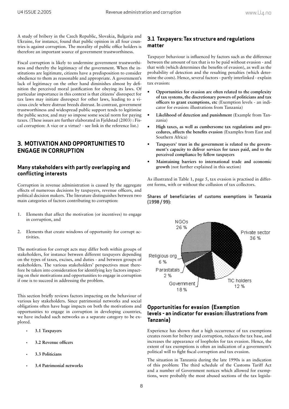A study of bribery in the Czech Republic, Slovakia, Bulgaria and Ukraine, for instance, found that public opinion in all four countries is against corruption. The morality of public office holders is therefore an important source of government trustworthiness.

Fiscal corruption is likely to undermine government trustworthiness and thereby the legitimacy of the government. When the institutions are legitimate, citizens have a predisposition to consider obedience to them as reasonable and appropriate. A government's lack of legitimacy on the other hand diminishes almost by definition the perceived moral justification for obeying its laws. Of particular importance in this context is that citizens' disrespect for tax laws may initiate disrespect for other laws, leading to a vicious circle where distrust breeds distrust. In contrast, government trustworthiness and widespread public support tends to legitimise the public sector, and may so impose some social norm for paying taxes. (These issues are further elaborated in Fjeldstad (2003) : Fiscal corruption: A vice or a virtue? - see link in the reference list.)

# **3. MOTIVATION AND OPPORTUNITIES TO ENGAGE IN CORRUPTION**

## **Many stakeholders with partly overlapping and conflicting interests**

Corruption in revenue administration is caused by the aggregate effects of numerous decisions by taxpayers, revenue officers, and political decision makers. The literature distinguishes between two main categories of factors contributing to corruption:

- Elements that affect the motivation (or incentives) to engage in corruption, and 1.
- Elements that create windows of opportunity for corrupt activities. 2.

The motivation for corrupt acts may differ both within groups of stakeholders, for instance between different taxpayers depending on the types of taxes, excises, and duties - and between groups of stakeholders. The various stakeholders' perspectives must therefore be taken into consideration for identifying key factors impacting on their motivations and opportunities to engage in corruption if one is to succeed in addressing the problem.

This section briefly reviews factors impacting on the behaviour of various key stakeholders. Since patrimonial networks and social obligations often have huge impacts on both the motivations and opportunities to engage in corruption in developing countries, we have included such networks as a separate category to be explored.

- **3.1 Taxpayers**
- 3.2 Revenue officers
- **3.3 Politicians**
- **3.4 Patrimonial networks**

## **3.1 Taxpayers: Tax structure and regulations matter**

Taxpayer behaviour is influenced by factors such as the difference between the amount of tax that is to be paid without evasion - and that with (which determines the benefits of evasion), as well as the probability of detection and the resulting penalties (which determine the costs). Hence, several factors - partly interlinked - explain tax evasion:

- **Opportunities for evasion are often related to the complexity of tax systems, the discretionary powers of politicians and tax offi cers to grant exemptions, etc** (Exemption levels - an indicator for evasion: illustrations from Tanzania) **•**
- **Likelihood of detection and punishment** (Example from Tanzania) **•**
- **High taxes, as well as cumbersome tax regulations and pro**cedures, affects the benefits evasion (Examples from East and Southern Africa) **•**
- **Taxpayers' trust in the government is related to the government's capacity to deliver services for taxes paid, and to the perceived compliance by fellow taxpayers •**
- **Maintaining barriers to international trade and economic growth** (not further explained in this section) **•**

As illustrated in Table 1, page 5, tax evasion is practised in different forms, with or without the collusion of tax collectors.

#### Shares of beneficiaries of customs exemptions in Tanzania (1998 / 99):



## **Opportunities for evasion (Exemption levels - an indicator for evasion: illustrations from Tanzania)**

Experience has shown that a high occurrence of tax exemptions creates room for bribery and corruption, reduces the tax base, and increases the appearance of loopholes for tax evasion. Hence, the extent of tax exemptions is often an indication of a government's political will to fight fiscal corruption and tax evasion.

The situation in Tanzania during the late 1990s is an indication of this problem: The third schedule of the Customs Tariff Act and a number of Government notices which allowed for exemptions, were probably the most abused sections of the tax legisla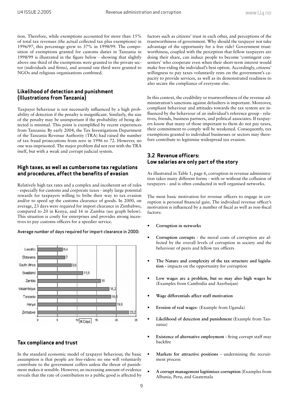tion. Therefore, while exemptions accounted for more than 15% of total tax revenues (the actual collected tax plus exemptions) in 1996/97, this percentage grew to 37% in 1998/99. The composition of exemptions granted for customs duties in Tanzania in 1998/99 is illustrated in the figure below - showing that slightly above one third of the exemptions were granted to the private sector (individuals and firms), and around one third were granted to NGOs and religious organisations combined.

#### **Likelihood of detection and punishment (Illustrations from Tanzania)**

Taxpayer behaviour is not necessarily influenced by a high probability of detection if the penalty is insignificant. Similarly, the size of the penalty may be unimportant if the probability of being detected is minimal. This point is exemplified by recent experiences from Tanzania: By early 2004, the Tax Investigations Department of the Tanzania Revenue Authority (TRA) had raised the number of tax fraud prosecutions from zero in 1996 to 72. However, no one was imprisoned. The major problem did not rest with the TRA itself, but with a weak and corrupt judicial system.

#### **High taxes, as well as cumbersome tax regulations and procedures, affect the benefits of evasion**

Relatively high tax rates and a complex and incoherent set of rules - especially for customs and corporate taxes - imply large potential rewards for taxpayers willing to bribe their way to tax evasion and/or to speed up the customs clearance of goods. In 2000, on average, 23 days were required for import clearance in Zimbabwe, compared to 20 in Kenya, and 16 in Zambia (see graph below). This situation is costly for enterprises and provides strong incentives to pay customs officers for a speedier service.

#### Average number of days required for import clearance in 2000:



#### **Tax compliance and trust**

In the standard economic model of taxpayer behaviour, the basic assumption is that people are free-riders: no one will voluntarily contribute to the government coffers unless the threat of punishment makes it sensible. However, an increasing amount of evidence reveals that the rate of contribution to a public good is affected by

factors such as citizens' trust in each other, and perceptions of the trustworthiness of government. Why should the taxpayer not take advantage of the opportunity for a free ride? Government trustworthiness, coupled with the perception that fellow taxpayers are doing their share, can induce people to become 'contingent consenters' who cooperate even when their short-term interest would make free-riding the individual's best option. Accordingly, citizens' willingness to pay taxes voluntarily rests on the government's capacity to provide services, as well as its demonstrated readiness to also secure the compliance of everyone else.

In this context, the credibility or trustworthiness of the revenue administration's sanctions against defaulters is important. Moreover, compliant behaviour and attitudes towards the tax system are influenced by the behaviour of an individual's reference group - relatives, friends, business partners, and political associates. If taxpayers know that many of those important to them do not pay taxes, their commitment to comply will be weakened. Consequently, tax exemptions granted to individual businesses or sectors may therefore contribute to legitimise widespread tax evasion.

## **3.2 Revenue officers: Low salaries are only part of the story**

As illustrated in Table 1, page 6, corruption in revenue administration takes many different forms - with or without the collusion of taxpayers - and is often conducted in well organised networks.

The most basic motivation for revenue officers to engage in corruption is personal financial gain. The individual revenue officer's motivation is influenced by a number of fiscal as well as non-fiscal factors:

- **Corruption in networks •**
- **Corruption corrupts** the moral costs of corruption are affected by the overall levels of corruption in society and the behaviour of peers and fellow tax officers **•**
- **The Nature and complexity of the tax structure and legislation -** impacts on the opportunity for corruption **•**
- **Low wages are a problem, but so may also high wages be**  (Examples from Cambodia and Azerbaijan) **•**
- **Wage differentials affect staff motivation •**
- **Erosion of real wages-** (Example from Uganda) **•**
- **Likelihood of detection and punishment** (Example from Tanzania) **•**
- **Existence of alternative employment firing corrupt staff may** backfire **•**
- **Markets for attractive positions** undermining the recruitment process **•**
- **A corrupt management legitimises corruption** (Examples from Albania, Peru, and Guatemala **•**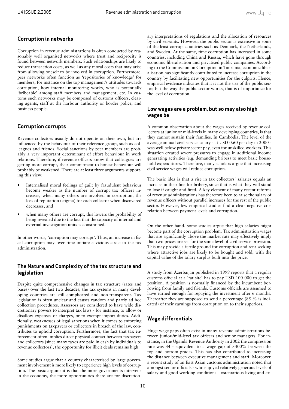#### **Corruption in networks**

Corruption in revenue administrations is often conducted by reasonably well organised networks where trust and reciprocity is found between network members. Such relationships are likely to reduce transaction costs, as well as any moral costs that may arise from allowing oneself to be involved in corruption. Furthermore, peer networks often function as 'repositories of knowledge' for members, for instance on the top management's attitudes towards corruption, how internal monitoring works, who is potentially 'bribeable' among staff members and management, etc. In customs such networks may be composed of customs officers, clearing agents, staff at the harbour authority or border police, and business people.

## **Corruption corrupts**

Revenue collectors usually do not operate on their own, but are influenced by the behaviour of their reference group, such as colleagues and friends. Social sanctions by peer members are probably a very important determinant of effort behaviour in work relations. Therefore, if revenue officers know that colleagues are getting more corrupt, their commitment to honest behaviour will probably be weakened. There are at least three arguments supporting this view:

- Internalised moral feelings of guilt by fraudulent behaviour become weaker as the number of corrupt tax officers increases, when many others are involved in corruption, the loss of reputation (stigma) for each collector when discovered decreases, and •
- when many others are corrupt, this lowers the probability of being revealed due to the fact that the capacity of internal and external investigation units is constrained. •

In other words, 'corruption may corrupt'. Thus, an increase in fiscal corruption may over time initiate a vicious circle in the tax administration.

#### **The Nature and Complexity of the tax structure and legislation**

Despite quite comprehensive changes in tax structure (rates and bases) over the last two decades, the tax systems in many developing countries are still complicated and non-transparent. Tax legislation is often unclear and causes random and partly ad hoc collection procedures. Assessors are considered to have wide discretionary powers to interpret tax laws - for instance, to allow or disallow expenses or charges, or to exempt import duties. Additionally, weaknesses of legal sanctions when it comes to enforcing punishments on taxpayers or collectors in breach of the law, contributes to uphold corruption. Furthermore, the fact that tax enforcement often implies direct physical contact between taxpayers and collectors (since many taxes are paid in cash by individuals to revenue collectors), the opportunity for illicit deals remains high.

Some studies argue that a country characterised by large government involvement is more likely to experience high levels of corruption. The basic argument is that the more governments intervene in the economy, the more opportunities there are for discretionary interpretations of regulations and the allocation of resources by civil servants. However, the public sector is extensive in some of the least corrupt countries such as Denmark, the Netherlands, and Sweden. At the same, time corruption has increased in some countries, including China and Russia, which have gone through economic liberalisation and privatised public companies. According to the Commission on Corruption in Tanzania, economic liberalisation has significantly contributed to increase corruption in the country by facilitating new opportunities for the culprits. Hence, empirical evidence indicates that it is not the size of the public sector, but the way the public sector works, that is of importance for the level of corruption.

#### **Low wages are a problem, but so may also high wages be**

A common observation about the wages received by revenue collectors at junior or mid-levels in many developing countries, is that they cannot sustain their families. In Cambodia, The level of the average annual civil service salary - at USD 0.60 per day in 2000 was well below private sector pay, even for unskilled workers. This situation created severe pressures to engage in additional income generating activities (e.g. demanding bribes) to meet basic household expenditures. Therefore, many scholars argue that increasing civil service wages will reduce corruption.

The basic idea is that a rise in tax collectors' salaries equals an increase in their fine for bribery, since that is what they will stand to lose if caught and fired. A key element of many recent reforms of revenue administrations has therefore been to raise the salary of revenue officers without parallel increases for the rest of the public sector. However, few empirical studies find a clear negative correlation between payment levels and corruption.

On the other hand, some studies argue that high salaries might become part of the corruption problem. Tax administration wages that are significantly above the market rate may effectively imply that two prices are set for the same level of civil service provision. This may provide a fertile ground for corruption and rent-seeking where attractive jobs are likely to be bought and sold, with the capital value of the salary surplus built into the price.

A study from Azerbaijan published in 1999 reports that a regular customs official at a 'fat site' has to pay USD 100 000 to get the position. A position is normally financed by the incumbent borrowing from family and friends. Customs officials are assumed to have earned enough for repaying the investment after 6 months. Thereafter they are supposed to send a percentage (85 % is indicated) of their earnings from corruption on to their superiors.

## **Wage differentials**

Huge wage gaps often exist in many revenue administrations between junior-/mid-level tax officers and senior managers. For instance, in the Uganda Revenue Authority in 2002 the compression rate was 34 - equivalent to a wage gap of 3300% between the top and bottom grades. This has also contributed to increasing the distance between executive management and staff. Moreover, a recent study of an East Asian customs administration noted that amongst senior officials - who enjoyed relatively generous levels of salary and good working conditions - ostentatious living and ex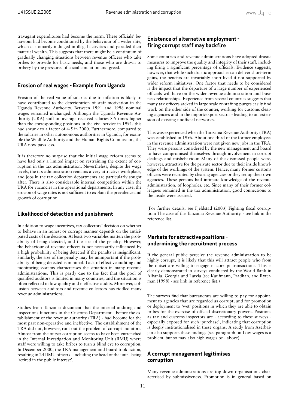travagant expenditures had become the norm. These officials' behaviour had become conditioned by the behaviour of a wider elite, which customarily indulged in illegal activities and paraded their material wealth. This suggests that there might be a continuum of gradually changing situations between revenue officers who take bribes to provide for basic needs, and those who are drawn to bribery by the pressures of social emulation and greed.

#### **Erosion of real wages - Example from Uganda**

Erosion of the real value of salaries due to inflation is likely to have contributed to the deterioration of staff motivation in the Uganda Revenue Authority. Between 1991 and 1998 nominal wages remained unchanged. Although the Uganda Revenue Authority (URA) staff on average received salaries 8-9 times higher than the corresponding positions in the civil service in 1991, this had shrunk to a factor of 4-5 in 2000. Furthermore, compared to the salaries in other autonomous authorities in Uganda, for example the Wildlife Authority and the Human Rights Commission, the URA now pays less.

It is therefore no surprise that the initial wage reform seems to have had only a limited impact on restraining the extent of corruption in the tax administration. Nevertheless, despite the wage levels, the tax administration remains a very attractive workplace, and jobs in the tax collection departments are particularly sought after. There is also considerable internal competition within the URA for vacancies in the operational departments. In any case, the erosion of wage rates is not sufficient to explain the prevalence and growth of corruption.

#### **Likelihood of detection and punishment**

In addition to wage incentives, tax collectors' decision on whether to behave in an honest or corrupt manner depends on the anticipated costs of the decision. At least two variables matter: the probability of being detected, and the size of the penalty. However, the behaviour of revenue officers is not necessarily influenced by a high probability of being detected if the penalty is insignificant. Similarly, the size of the penalty may be unimportant if the probability of being detected is minimal. Lack of effective auditing and monitoring systems characterises the situation in many revenue administrations. This is partly due to the fact that the pool of qualified auditors is limited in many countries, and the situation is often reflected in low quality and ineffective audits. Moreover, collusion between auditors and revenue collectors has riddled many revenue administrations.

Studies from Tanzania document that the internal auditing and inspections functions in the Customs Department - before the establishment of the revenue authority (TRA) - had become for the most part non-operative and ineffective. The establishment of the TRA did not, however, root out the problem of corrupt monitors. Almost from the outset corruption seems to have been entrenched in the Internal Investigation and Monitoring Unit (IIMU) where staff were willing to take bribes to turn a blind eye to corruption. In December 2000, the TRA management and board took action, resulting in 24 IIMU officers - including the head of the unit - being 'retired in the public interest'.

#### **Existence of alternative employment firing corrupt staff may backfire**

Some countries and revenue administrations have adopted drastic measures to improve the quality and integrity of their staff, including firing a significant percentage of officials. Evidence suggests, however, that while such drastic approaches can deliver short-term gains, the benefits are invariably short-lived if not supported by wider reform initiatives. One factor that needs to be considered is the impact that the departure of a large number of experienced officials will have on the wider revenue administration and business relationships. Experience from several countries suggests that many tax officers sacked in large scale re-staffing purges easily find work on the other side of the counter, working for customs clearing agencies and in the import/export sector - leading to an extension of existing unofficial networks.

This was experienced when the Tanzania Revenue Authority (TRA) was established in 1996. About one third of the former employees in the revenue administration were not given new jobs in the TRA. They were persons considered by the new management and board to have compromised themselves through involvement in corrupt dealings and misbehaviour. Many of the dismissed people were, however, attractive for the private sector due to their inside knowledge of the workings of the system. Hence, many former customs officers were recruited by clearing agencies or they set up their own agencies. These persons had intimate knowledge of the revenue administration, of loopholes, etc. Since many of their former colleagues remained in the tax administration, good connections to the inside were assured.

(For further details, see Fjeldstad (2003) Fighting fiscal corruption: The case of the Tanzania Revenue Authority. - see link in the reference list.

#### **Markets for attractive positions undermining the recruitment process**

If the general public perceive the revenue administration to be highly corrupt, it is likely that this will attract people who from the outset are willing to engage in corrupt transactions. This is clearly demonstrated in surveys conducted by the World Bank in Albania, Georgia and Latvia (see Kaufmann, Pradhan, and Ryterman (1998) - see link in reference list.)

The surveys find that bureaucrats are willing to pay for appointment to agencies that are regarded as corrupt, and for promotion or deployment to 'wet' positions in which they are able to obtain bribes for the exercise of official discretionary powers. Positions as tax and customs inspectors are - according to these surveys especially exposed for such 'purchase', indicating that corruption is deeply institutionalised in these organs. A study from Azerbaijan also supports these findings (see paragraph on Low wages is a problem, but so may also high wages be - above)

#### **A corrupt management legitimises corruption**

Many revenue administrations are top-down organisations characterised by submissiveness. Promotion is in general based on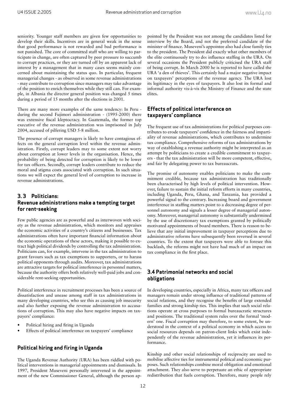seniority. Younger staff members are given few opportunities to develop their skills. Incentives are in general weak in the sense that good performance is not rewarded and bad performance is not punished. The core of committed staff who are willing to participate in change, are often captured by peer pressure to succumb to corrupt practices, or they are turned off by an apparent lack of interest by a management that in many cases seems mainly concerned about maintaining the status quo. In particular, frequent managerial changes - as observed in some revenue administrations - may contribute to corruption since managers may take advantage of the position to enrich themselves while they still can. For example, in Albania the director general position was changed 5 times during a period of 15 months after the elections in 2001.

There are many more examples of the same tendency: In Peru during the second Fujimori administration - (1995-2000) there was extensive fiscal kleptocracy. In Guatemala, the former top executive of the revenue administration was imprisoned in July 2004, accused of pilfering USD 5-8 million.

The presence of corrupt managers is likely to have contagious effects on the general corruption level within the revenue administration. Firstly, corrupt leaders may to some extent not worry about corruption at lower levels in the organisation. Hence, the probability of being detected for corruption is likely to be lower for tax officers. Secondly, corrupt leaders contribute to reduce the moral and stigma costs associated with corruption. In such situations we will expect the general level of corruption to increase in revenue administrations.

## **3. 3 Politicians: Revenue administrations make a tempting target for rent-seeking**

Few public agencies are as powerful and as interwoven with society as the revenue administration, which monitors and appraises the economic activities of a country's citizens and businesses. Tax administrations often have important financial information about the economic operations of these actors, making it possible to extract high political dividends by controlling the tax administration. Politicians can, for example, intervene in the tax administration to grant favours such as tax exemptions to supporters, or to harass political opponents through audits. Moreover, tax administrations are attractive targets for political interference in personnel matters, because the authority offers both relatively well-paid jobs and considerable rent-seeking opportunities.

Political interference in recruitment processes has been a source of dissatisfaction and unease among staff in tax administrations in many developing countries, who see this as causing job insecurity and also further exposing the revenue administration to accusations of corruption. This may also have negative impacts on taxpayers' compliance:

- Political hiring and firing in Uganda •
- Effects of political interference on taxpayers' compliance •

## **Political hiring and firing in Uganda**

The Uganda Revenue Authority (URA) has been riddled with political interventions in managerial appointments and dismissals. In 1997, President Museveni personally intervened in the appointment of the new Commissioner General, although the person appointed by the President was not among the candidates listed for interview by the Board, and not the preferred candidate of the minister of finance. Museveni's appointee also had close family ties to the president. The President did exactly what other members of the elite continuously try to do: influence staffing in the URA. On several occasions the President publicly criticised the URA staff of being corrupt. In March 2000 he is reported to have called the URA 'a den of thieves'. This certainly had a major negative impact on taxpayers' perceptions of the revenue agency. The URA lost its legitimacy in the eyes of taxpayers. It also lost its formal and informal authority vis-à-vis the Ministry of Finance and the state elites.

#### **Effects of political interference on taxpayers' compliance**

The frequent use of tax administrations for political purposes contributes to erode taxpayers' confidence in the fairness and impartiality of revenue administrations, which contributes to undermine tax compliance. Comprehensive reforms of tax administrations by way of establishing a revenue authority might be interpreted as an attempt by politicians to create a credible commitment to taxpayers - that the tax administration will be more competent, effective, and fair by delegating power to tax bureaucrats.

The promise of autonomy enables politicians to make the commitment credible, because tax administration has traditionally been characterised by high levels of political intervention. However, failure to sustain the initial reform efforts in many countries, including Uganda, Peru, Ghana, and Tanzania, has provided a powerful signal to the contrary. Increasing board and government interference in staffing matters point to a decreasing degree of personnel autonomy and signals a lesser degree of managerial autonomy. Moreover, managerial autonomy is substantially undermined by the use of discretionary tax exemptions granted by politically motivated appointments of board members. There is reason to believe that any initial improvement in taxpayer perceptions due to administrative reforms have subsequently been reversed in several countries. To the extent that taxpayers were able to foresee this backlash, the reforms might not have had much of an impact on tax compliance in the first place.

#### **3.4 Patrimonial networks and social obligations**

In developing countries, especially in Africa, many tax officers and managers remain under strong influence of traditional patterns of social relations, and they recognise the benefits of large extended families and strong kinship ties. This implies that such social relations operate at cross purposes to formal bureaucratic structures and positions. The traditional system rules over the formal 'modern' one. Fiscal corruption may therefore, to some extent, be understood in the context of a political economy in which access to social resources depends on patron-client links which exist independently of the revenue administration, yet it influences its performance.

Kinship and other social relationships of reciprocity are used to mobilise affective ties for instrumental political and economic purposes. Such relationships combine moral obligation and emotional attachment. They also serve to perpetuate an ethic of appropriate redistribution that fuels corruption. Therefore, many people rely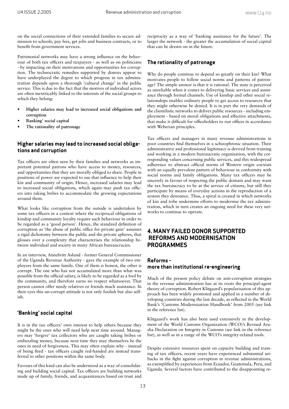on the social connections of their extended families to secure admission to schools, pay fees, get jobs and business contracts, or to benefit from government services.

Patrimonial networks may have a strong influence on the behaviour of both tax officers and taxpayers - as well as on politicians - by impacting on their motivations and opportunities for corruption. The technocratic remedies supported by donors appear to have underplayed the degree to which progress in tax administration depends upon a thorough 'cultural change' in the public service. This is due to the fact that the motives of individual actors are often inextricably linked to the interests of the social groups to which they belong:

- **Higher salaries may lead to increased social obligations and corruption •**
- **Banking' social capital •**
- **The rationality of patronage •**

#### **Higher salaries may lead to increased social obligations and corruption**

Tax officers are often seen by their families and networks as important potential patrons who have access to money, resources, and opportunities that they are morally obliged to share. People in positions of power are expected to use that influence to help their kin and community of origin. Hence, increased salaries may lead to increased social obligations, which again may push tax officers into taking bribes to accommodate the growing expectations around them.

What looks like corruption from the outside is undertaken by some tax officers in a context where the reciprocal obligations of kinship and community loyalty require such behaviour in order to be regarded as a 'good person'. Hence, the standard definition of corruption as 'the abuse of public office for private gain' assumes a rigid dichotomy between the public and the private spheres, that glosses over a complexity that characterises the relationship between individual and society in many African bureaucracies.

In an interview, Annebritt Aslund - former General Commissioner of the Uganda Revenue Authority - gave the example of two employees from the same family. One of them is honest, the other is corrupt. The one who has not accumulated more than what was possible from the official salary, is likely to be regarded as a fool by the community, and therefore earns no respect whatsoever. That person cannot offer needy relatives or friends much assistance. In their eyes this un-corrupt attitude is not only foolish but also selfish.

## **'Banking' social capital**

It is in the tax officers' own interest to help others because they might be the ones who will need help next time around. Managers may 'forgive' tax collectors who are caught taking bribes or embezzling money, because next time they may themselves be the ones in need of forgiveness. This may often explain why - instead of being fired - tax officers caught red-handed are instead transferred to other positions within the same body.

Favours of this kind can also be understood as a way of consolidating and building social capital. Tax officers are building networks made up of family, friends, and acquaintances based on trust and

reciprocity as a way of 'banking assistance for the future'. The larger the network - the greater the accumulation of social capital that can be drawn on in the future.

## **The rationality of patronage**

Why do people continue to depend so greatly on their kin? What motivates people to follow social norms and patterns of patronage? The simple answer is that it is rational. The state is perceived as unreliable when it comes to delivering basic services and assistance through formal channels. Use of kinship and other social relationships enables ordinary people to get access to resources that they might otherwise be denied. It is in part the very demands of the clientilistic networks to deliver public resources - including employment - based on moral obligations and affective attachments, that make it difficult for officeholders to run offices in accordance with Weberian principles.

Tax officers and managers in many revenue administrations in poor countries find themselves in a schizophrenic situation. Their administrative and professional legitimacy is derived from training and working in a modern bureaucratic organisation, with the corresponding values concerning public services, and this widespread adherence to abstract official norms of Western origin coexists with an equally prevalent pattern of behaviour in conformity with social norms and family obligations. Many tax officers may be sincerely in favour of respecting the public domain and may want the tax bureaucracy to be at the service of citizens, but still they participate by means of everyday actions in the reproduction of a system they denounce. Thus, a spiral is created in which networks of kin and tribe undermine efforts to modernise the tax administration, which in turn creates an ongoing need for these very networks to continue to operate.

## **4. MANY FAILED DONOR SUPPORTED REFORMS AND MODERNISATION PROGRAMMES**

## **Reforms more than institutional re-engineering**

Much of the present policy debate on anti-corruption strategies in the revenue administration has at its roots the principal-agent theory of corruption. Robert Klitgaard's popularisation of this approach has been widely promoted and applied in a number of developing countries during the last decade, as reflected in the World Bank's 'Customs Modernization Handbook' from 2005 (see link in the reference list).

Klitgaard's work has also been used extensively in the development of the World Customs Organization (WCO)'s Revised Arusha Declaration on Integrity in Customs (see link in the reference list), as well as in a range of the WCO's integrity-related tools.

Despite extensive resources spent on capacity building and training of tax officers, recent years have experienced substantial setbacks in the fight against corruption in revenue administrations, as exemplified by experiences from Ecuador, Guatemala, Peru, and Uganda. Several factors have contributed to the disappointing re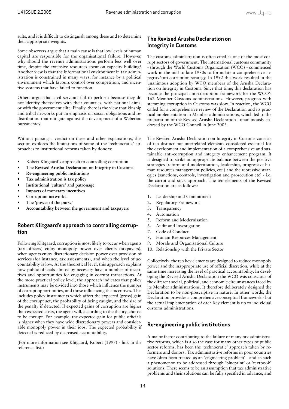sults, and it is difficult to distinguish among these and to determine their appropriate weights.

Some observers argue that a main cause is that low levels of human capital are responsible for the organisational failure. However, why should the revenue administrations perform less well over time, despite the extensive resources spent on capacity building? Another view is that the informational environment in tax administration is constrained in many ways, for instance by a political environment which favours control over competition, and incentive systems that have failed to function.

Others argue that civil servants fail to perform because they do not identify themselves with their countries, with national aims, or with the government elite. Finally, there is the view that kinship and tribal networks put an emphasis on social obligations and redistribution that mitigate against the development of a Weberian bureaucracy.

Without passing a verdict on these and other explanations, this section explores the limitations of some of the 'technocratic' approaches to institutional reforms taken by donors:

- Robert Klitgaard's approach to controlling corruption •
- **The Revised Arusha Declaration on Integrity in Customs •**
- **Re-engineering public institutions •**
- **Tax administration is tax policy •**
- **Institutional 'culture' and patronage •**
- **Impacts of monetary incentives •**
- **Corruption networks •**
- **The 'power of the purse' •**
- **Accountability between the government and taxpayers •**

### **Robert Klitgaard's approach to controlling corruption**

Following Klitgaard, corruption is most likely to occur when agents (tax officers) enjoy monopoly power over clients (taxpayers), when agents enjoy discretionary decision power over provision of services (for instance, tax assessments), and when the level of accountability is low. At the theoretical level, this approach explains how public officials almost by necessity have a number of incentives and opportunities for engaging in corrupt transactions. At the more practical policy level, the approach indicates that policy instruments may be divided into those which influence the number of corrupt opportunities, and those influencing the incentives. This includes policy instruments which affect the expected (gross) gain of the corrupt act, the probability of being caught, and the size of the penalty if detected. If expected gains of corruption are higher than expected costs, the agent will, according to the theory, choose to be corrupt. For example, the expected gain for public officials is higher when they have wide discretionary powers and considerable monopoly power in their jobs. The expected probability if detected is reduced by decreased accountability.

(For more information see Klitgaard, Robert (1997) - link in the reference list.)

## **The Revised Arusha Declaration on Integrity in Customs**

The customs administration is often cited as one of the most corrupt sectors of government. The international customs community - through the World Customs Organization (WCO) - commenced work in the mid to late 1980s to formulate a comprehensive integrity/anti-corruption strategy. In 1992 this work resulted in the unanimous adoption by WCO members of the Arusha Declaration on Integrity in Customs. Since that time, this declaration has become the principal anti-corruption framework for the WCO's 162 Member Customs administrations. However, progress with stemming corruption in Customs was slow. In reaction, the WCO called for a comprehensive review of the Declaration and its practical implementation in Member administrations, which led to the preparation of the Revised Arusha Declaration - unanimously endorsed by the WCO Council in June 2003.

The Revised Arusha Declaration on Integrity in Customs consists of ten distinct but interrelated elements considered essential for the development and implementation of a comprehensive and sustainable anti-corruption and integrity enhancement program. It is designed to strike an appropriate balance between the positive strategies (reform and modernisation, leadership, progressive human resources management policies, etc.) and the repressive strategies (sanctions, controls, investigation and prosecution etc) - i.e. the carrot and stick approach. The ten elements of the Revised Declaration are as follows:

- 1. Leadership and Commitment
- Regulatory Framework  $2<sup>2</sup>$
- Transparency 3.
- Automation 4.
- 5. Reform and Modernisation
- Audit and Investigation 6.
- Code of Conduct 7.
- Human Resources Management 8.
- Morale and Organisational Culture 9.
- 10. Relationship with the Private Sector

Collectively, the ten key elements are designed to reduce monopoly power and the inappropriate use of official discretion, while at the same time increasing the level of practical accountability. In developing the Revised Arusha Declaration the WCO was conscious of the different social, political, and economic circumstances faced by its Member administrations. It therefore deliberately designed the Declaration to be non-prescriptive in nature. In other words, the Declaration provides a comprehensive conceptual framework - but the actual implementation of each key element is up to individual customs administrations.

#### **Re-engineering public institutions**

A major factor contributing to the failure of many tax administrative reforms, which is also the case for many other types of public sector reforms, has been the 'technocratic' approach taken by reformers and donors. Tax administrative reforms in poor countries have often been treated as an 'engineering problem' - and as such a phenomenon to be addressed through 'blueprint' or 'textbook' solutions. There seems to be an assumption that tax administrative problems and their solutions can be fully specified in advance, and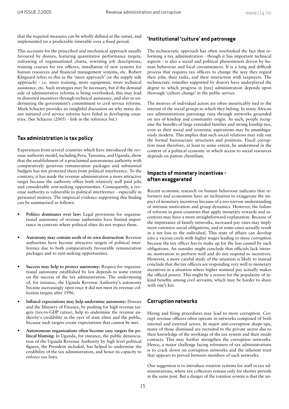that the required measures can be wholly defined at the outset, and implemented on a predictable timetable over a fixed period.

This accounts for the prescribed and mechanical approach usually favoured by donors, featuring quantitative performance targets, redrawing of organisational charts, rewriting job descriptions, training courses for tax officers, installation of new systems for human resources and financial management systems, etc. Robert Klitgaard refers to this as the 'more approach' (or the supply side approach) - i.e. more training, more equipment, more technical assistance, etc. Such strategies may be necessary, but if the demand side of administrative reforms is being overlooked, this may lead to distorted incentives through technical assistance, and also to undermining the government's commitment to civil service reforms. Mark Schacter provides an insightful discussion on why many donor initiated civil service reforms have failed in developing countries. (See Schacter (2005) - link in the reference list.)

#### **Tax administration is tax policy**

Experiences from several countries which have introduced the revenue authority model, including Peru, Tanzania, and Uganda, show that the establishment of a proclaimed autonomous authority with comparatively generous remuneration packages and substantial budgets has not protected them from political interference. To the contrary, it has made the revenue administration a more attractive target because the authority offers both relatively well paid jobs and considerable rent-seeking opportunities. Consequently, a revenue authority is vulnerable to political interference - especially in personnel matters. The empirical evidence supporting this finding can be summarised as follows:

- **Politics dominates over law:** Legal provisions for organisational autonomy of revenue authorities have limited importance in contexts where political elites do not respect them. **•**
- **Autonomy may contain seeds of its own destruction:** Revenue authorities have become attractive targets of political interference due to both comparatively favourable remuneration packages and to rent-seeking opportunities. **•**
- **Success may help to protect autonomy:** Respect for organisational autonomy established by law depends to some extent on the success of the tax administration. The undermining of, for instance, the Uganda Revenue Authority's autonomy became increasingly open once it did not meet its revenue collection targets after 1996. **•**
- Inflated expectations may help undermine autonomy: Donors and the Ministry of Finance, by pushing for high revenue targets (tax-to-GDP ratios), help to undermine the revenue authority's credibility in the eyes of state elites and the public, because such targets create expectations that cannot be met. **•**
- **Autonomous organisations often become easy targets for political blaming:** In Uganda, for instance, the public denunciation of the Uganda Revenue Authority by high level political figures, the President included, has helped to undermine the credibility of the tax administration, and hence its capacity to enforce tax laws. **•**

#### **'Institutional 'culture' and patronage**

The technocratic approach has often overlooked the fact that reforming a tax administration - though it has important technical aspects - is also a social and political phenomenon driven by human behaviour and local circumstances. It is a long and difficult process that requires tax officers to change the way they regard their jobs, their tasks, and their interaction with taxpayers. The technocratic remedies supported by donors have underplayed the degree to which progress in [tax] administration depends upon thorough 'culture change' in the public service.

The motives of individual actors are often inextricably tied to the interest of the social groups to which they belong. In many African tax administrations patronage runs through networks grounded on ties of kinship and community origin. As such, people recognise the benefits of large extended families and strong kinship ties, even as their social and economic aspirations may be unambiguously modern. This implies that such social relations may rule out the formal bureaucratic structures and positions. Fiscal corruption must therefore, at least to some extent, be understood in the context of a political economy in which access to social resources depends on patron clientilism.

#### **Impacts of monetary incentives often exaggerated**

Recent economic research on human behaviour indicates that reformers and economists have an inclination to exaggerate the impact of monetary incentives because of a too narrow understanding of intrinsic motivation and group dynamics. However, the failure of reforms in poor countries that apply monetary rewards and incentives may have a more straightforward explanation. Because of the importance of family networks, increased pay rates may imply more extensive social obligations, and in some cases actually result in a net loss to the individual. This state of affairs can develop into a vicious circle with higher wages leading to more corruption because the tax officer has to make up for the loss caused by such obligations. An outsider might conclude that officials lack intrinsic motivation to perform well and do not respond to incentives. However, a more careful study of the situation is likely to instead conclude that the tax officers are responding very well to monetary incentives in a situation where higher nominal pay actually makes the official poorer. This might be a reason for the popularity of inkind benefits among civil servants, which may be harder to share with one's kin.

#### **Corruption networks**

Hiring and firing procedures may lead to more corruption. Corrupt revenue officers often operate in networks composed of both internal and external actors. In major anti-corruption shape-ups, many of those dismissed are recruited to the private sector due to their knowledge of the workings of the tax system and their inside contacts. This may further strengthen the corruption networks. Hence, a major challenge facing reformers of tax administrations is to crack down on corruption networks and the inherent trust that appears to prevail between members of such networks.

One suggestion is to introduce rotation systems for staff in tax administrations, where tax collectors remain only for shorter periods in the same post. But a danger of the rotation system is that the un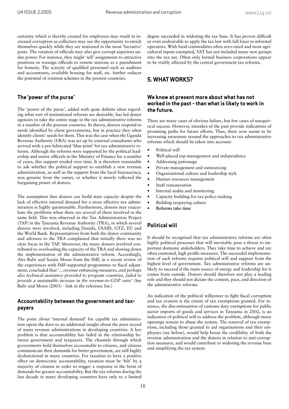certainty which is thereby created for employees may result in increased corruption as collectors may use the opportunity to enrich themselves quickly while they are stationed in the most 'lucrative' posts. The rotation of officials may also give corrupt superiors undue power. For instance, they might 'sell' assignments to attractive positions or reassign officials to remote stations as a punishment for honesty. The scarcity of qualified personnel such as auditors and accountants, available housing for staff, etc. further reduces the potential of rotation schemes in the poorest countries.

#### **The 'power of the purse'**

The 'power of the purse', added with quite definite ideas regarding what sort of institutional reforms are desirable, has led donor agencies to take the centre stage in the tax administrative reforms in a number of the poorest countries. In theory, donors respond to needs identified by client governments, but in practice they often identify clients' needs for them. This was the case when the Uganda Revenue Authority (URA) was set up by external consultants who arrived with a pre-fabricated 'blue-print' for tax administrative reforms. Although the reforms were supported by the political leadership and senior officials in the Ministry of Finance for a number of years, this support eroded over time. It is therefore reasonable to ask whether the political support to establish a new revenue administration, as well as the support from the local bureaucracy, was genuine from the outset, or whether it merely reflected the bargaining power of donors.

The assumption that donors can build state capacity despite the lack of effective internal demand for a more effective tax administration is highly questionable. Furthermore, donors may exacerbate the problems when there are several of them involved in the same field. This was observed in the Tax Administration Project (TAP) in the Tanzania Revenue Authority (TRA), in which several donors were involved, including Danida, USAID, GTZ, EU and the World Bank. Representatives from both the donor community and advisors to the TRA complained that initially there was no clear focus in the TAP. Moreover, the many donors involved contributed to overloading the capacity of the TRA and slowing down the implementation of the administrative reform. Accordingly, Ales Bulir and Soojin Moon from the IMF, in a recent review of the experiences with IMF-supported programmes to fiscal adjustment, concluded that '*…revenue enhancing measures, and perhaps also technical assistance provided to program countries, failed to provide a sustainable increase in the revenue-to-GDP ratio*' (See Bulir and Moon (2003) - link in the reference list.)

#### **Accountability between the government and taxpayers**

The point about 'internal demand' for capable tax administration opens the door to an additional insight about the poor record of many revenue administrations in developing countries. A key problem is that accountability has failed in the relationship between government and taxpayers. The channels through which governments hold themselves accountable to citizens, and citizens communicate their demands for better government, are still highly dysfunctional in many countries. For taxation to have a positive effect on democratic accountability, taxation must be 'felt' by a majority of citizens in order to trigger a response in the form of demands for greater accountability. But the tax reforms during the last decade in many developing countries have only to a limited

degree succeeded in widening the tax base. It has proven difficult or even undesirable to apply the tax law with full force to informal operators. With food commodities often zero-rated and most agricultural inputs exempted, VAT has not included many new groups into the tax net. Often only formal business corporations appear to be visibly affected by the central government tax reforms.

#### **5. WHAT WORKS?**

#### **We know at present more about what has not worked in the past - than what is likely to work in the future.**

There are many cases of obvious failure, but few cases of unequivocal success. However, mistakes of the past provide indications of promising paths for future efforts. Thus, there now seems to be increasing awareness around the approaches to tax administrative reforms which should be taken into account:

- Political will •
- Well-placed top management and independency •
- Addressing patronage •
- Private management and outsourcing •
- Organisational culture and leadership style •
- Human resources management •
- Staff remuneration •
- Internal audits and monitoring •
- Capacity building for tax policy-making •
- Building taxpaying culture •
- **Reforms take time •**

#### **Political will**

It should be recognised that tax administrative reforms are often highly political processes that will inevitably pose a threat to important domestic stakeholders. They take time to achieve and are often contested, high profile measures. The successful implementation of such reforms requires political will and support from the highest level of government. Tax administrative reforms are unlikely to succeed if the main source of energy and leadership for it comes from outside. Donors should therefore not play a leading role and they should not dictate the content, pace, and direction of the administrative reforms.

An indication of the political willpower to fight fiscal corruption and tax evasion is the extent of tax exemptions granted. For instance, the discontinuation of customs duty exemptions for public sector imports of goods and services in Tanzania in 2002, is an indication of political will to address the problem, although many openings remain to abuse the system. The removal of tax exemptions, including those granted to aid organisations and their employees (see below), would help boost the credibility of both the revenue administration and the donors in relation to anti-corruption measures, and would contribute to widening the revenue base and simplifying the tax system.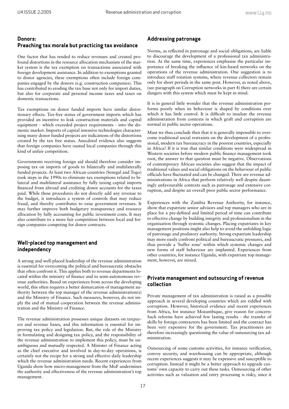## **Donors: Preaching tax morale but practicing tax avoidance**

One factor that has tended to reduce revenues and created profound distortions in the resource allocation mechanism of the market system is the tax exemption on transactions associated with foreign development assistance. In addition to exemptions granted to donor agencies, these exemptions often include foreign companies engaged by the donors (e.g. construction companies). This has contributed to eroding the tax base not only for import duties, but also for corporate and personal income taxes and taxes on domestic transactions.

Tax exemptions on donor funded imports have similar distortionary effects. Tax-free status of government imports which has provided an incentive to leak construction materials and capital equipment - which exceeded project requirements - into the domestic market. Imports of capital intensive technologies characterising many donor funded projects are indications of the distortions created by the tax free status. Anecdotal evidence also suggests that foreign companies have ousted local companies through this kind of unfair competition.

Governments receiving foreign aid should therefore consider imposing tax on imports of goods to bilaterally and multilaterally funded projects. At least two African countries (Senegal and Togo) took steps in the 1990s to eliminate tax exemptions related to bilateral and multilateral assistance by fully taxing capital imports financed from abroad and crediting donor accounts for the taxes paid. While these procedures do not directly add any revenue to the budget, it introduces a system of controls that may reduce fraud, and thereby contributes to raise government revenues. It may further improve both budgetary transparency and resource allocation by fully accounting for public investment costs. It may also contribute to a more fair competition between local and foreign companies competing for donor contracts.

#### **Well-placed top management and independency**

A strong and well-placed leadership of the revenue administration is essential for overcoming the political and bureaucratic obstacles that often confront it. This applies both to revenue departments located within the ministry of finance and to semi-autonomous revenue authorities. Based on experiences from across the developing world, this often requires a better demarcation of management authority between the top manager of the revenue administration(s) and the Ministry of Finance. Such measures, however, do not imply the end of mutual cooperation between the revenue administration and the Ministry of Finance.

The revenue administration possesses unique datasets on taxpayers and revenue bases, and this information is essential for improving tax policy and legislation. But, the role of the Ministry in formulating and designing tax policy, and the responsibility of the revenue administration to implement this policy, must be unambiguous and mutually respected. A Minister of Finance acting as the chief executive and involved in day-to-day operations, is certainly not the recipe for a strong and effective daily leadership which the revenue administration needs. Recent experiences from Uganda show how micro-management from the MoF undermines the authority and effectiveness of the revenue administration's top management.

#### **Addressing patronage**

Norms, as reflected in patronage and social obligations, are liable to discourage the development of a professional tax administration. At the same time, experiences emphasise the particular importance of breaking the influence of kin-based networks on the operations of the revenue administration. One suggestion is to introduce staff rotation systems, where revenue collectors remain only for short periods in the same post. However, as noted above, (see paragraph on Corruption networks in part 4) there are certain dangers with this system which must be kept in mind.

It is in general little wonder that the revenue administration performs poorly when its behaviour is shaped by conditions over which it has little control. It is difficult to insulate the revenue administration from contexts in which graft and corruption are normal in public sector operations.

Must we thus conclude then that it is generally impossible to overcome traditional social restraints on the development of a professional, modern tax bureaucracy in the poorest countries, especially in Africa? If it is true that similar conditions were widespread in Western societies before modern public finance management took root, the answer to that question must be negative. Observations of contemporary African societies also suggest that the impact of traditional values and social obligations on the behaviour of public officials have fluctuated and can be changed. There are revenue administrations in Africa that perform relatively well despite dauntingly unfavourable contexts such as patronage and extensive corruption, and despite an overall poor public sector performance.

Experiences with the Zambia Revenue Authority, for instance, show that expatriate senior advisors and top managers who are in place for a pre-defined and limited period of time can contribute to effective change by building integrity and professionalism in the organisation through systemic changes. Placing expatriates in key management positions might also help to avoid the unfolding logic of patronage and predatory authority. Strong expatriate leadership may more easily confront political and bureaucratic pressures, and thus provide a 'buffer zone' within which systemic changes and new forms of staff behaviour are implanted. Experiences from other countries, for instance Uganda, with expatriate top management, however, are mixed.

#### **Private management and outsourcing of revenue collection**

Private management of tax administration is raised as a possible approach in several developing countries which are riddled with corruption. However, historical evidence and recent experiences from Africa, for instance Mozambique, give reason for concern: Such reforms have achieved few lasting results - the transfer of skills by foreign contractors has been limited and the contract has been very expensive for the government. Tax practitioners are therefore increasingly questioning the value of outsourcing tax administration.

Outsourcing of some customs activities, for instance verification, convoy security, and warehousing can be appropriate, although recent experiences suggests it may be expensive and susceptible to corruption. Instead it might be a better approach to upgrade customs' own capacity to carry out these tasks. Outsourcing of other activities such as valuation and entry processing is risky, since it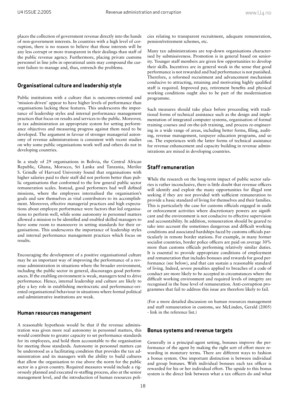places the collection of government revenue directly into the hands of non-government interests. In countries with a high level of corruption, there is no reason to believe that those interests will be any less corrupt or more transparent in their dealings than staff of the public revenue agency. Furthermore, placing private customs personnel in line jobs in operational units may compound the current failure to manage and, thus, entrench the problems.

#### **Organisational culture and leadership style**

Public institutions with a culture that is outcomes-oriented and 'mission-driven' appear to have higher levels of performance than organisations lacking these features. This underscores the importance of leadership styles and internal performance management practices that focus on results and services to the public. Moreover, in tax administration an appropriate system for setting performance objectives and measuring progress against them need to be developed. The argument in favour of stronger managerial autonomy of revenue administrations is consistent with recent studies on why some public organisations work well and others do not in developing countries.

In a study of 29 organisations in Bolivia, the Central African Republic, Ghana, Morocco, Sri Lanka and Tanzania, Merilee S. Grindle of Harvard University found that organisations with higher salaries paid to their staff did not perform better than public organisations that conformed to the low general public sector remuneration scales. Instead, good performers had well defined missions, where the employees internalised the organisation's goals and saw themselves as vital contributors to its accomplishment. Moreover, effective managerial practices and high expectations about employee performance were factors that led organisations to perform well, while some autonomy in personnel matters allowed a mission to be identified and enabled skilled managers to have some room to manoeuvre in setting standards for their organisations. This underscores the importance of leadership styles and internal performance management practices which focus on results.

Encouraging the development of a positive organisational culture may be an important way of improving the performance of a revenue administration in situations where the broader environment, including the public sector in general, discourages good performances. If the enabling environment is weak, managers tend to drive performance. Hence, internal leadership and culture are likely to play a key role in establishing meritocratic and performance-oriented organisational behaviour in situations where formal political and administrative institutions are weak.

#### **Human resources management**

A reasonable hypothesis would be that if the revenue administration was given more real autonomy in personnel matters, this would contribute to greater capacity to set performance standards for its employees, and hold them accountable to the organisation for meeting those standards. Autonomy in personnel matters can be understood as a facilitating condition that provides the tax administration and its managers with the ability to build cultures that allow the organisation to rise above the norm for the public sector in a given country. Required measures would include a rigorously planned and executed re-staffing process, also at the senior management level, and the introduction of human resources policies relating to transparent recruitment, adequate remuneration, pension/retirement schemes, etc.

Many tax administrations are top-down organisations characterised by submissiveness. Promotion is in general based on seniority. Younger staff members are given few opportunities to develop their skills. Incentives are in general weak in the sense that good performance is not rewarded and bad performance is not punished. Therefore, a reformed recruitment and advancement mechanism conducive to attracting, retaining and motivating highly qualified staff is required. Improved pay, retirement benefits and physical working conditions ought also to be part of the modernisation programme.

Such measures should take place before proceeding with traditional forms of technical assistance such as the design and implementation of integrated computer systems, organisation of formal training courses and on-the-job training, and process re-engineering in a wide range of areas, including better forms, filing, auditing, revenue management, taxpayer education programs, and so on. The experiences with the latter forms of technical assistance for revenue enhancement and capacity building in revenue administrations are mixed in developing countries.

#### **Staff remuneration**

While the research on the long-term impact of public sector salaries is rather inconclusive, there is little doubt that revenue officers will identify and exploit the many opportunities for illegal rent seeking if they are not provided with sufficient remuneration to provide a basic standard of living for themselves and their families. This is particularly the case for customs officials engaged in audit or enforcement activities where discretionary powers are significant and the environment is not conducive to effective supervision and accountability. In addition, remuneration should be geared to take into account the sometimes dangerous and difficult working conditions and associated hardships faced by customs officials particularly in remote border stations. For example, in many former socialist countries, border police officers are paid on average 30% more than customs officials performing relatively similar duties. It is essential to provide appropriate conditions of employment and remuneration that includes bonuses and rewards for good performance (see below), and that can sustain a reasonable standard of living. Indeed, severe penalties applied to breaches of a code of conduct are more likely to be accepted in circumstances where the difficult working environment and required levels of integrity are recognised in the base level of remuneration. Anti-corruption programmes that fail to address this issue are therefore likely to fail.

(For a more detailed discussion on human resources management and staff remuneration in customs, see McLinden, Gerald (2005) - link in the reference list.)

#### **Bonus systems and revenue targets**

Generally in a principal-agent setting, bonuses improve the performance of the agent by making the right sort of effort more rewarding in monetary terms. There are different ways to fashion a bonus system. One important distinction is between individual and group bonuses. With individual bonuses each tax officer is rewarded for his or her individual effort. The upside to this bonus system is the direct link between what a tax officers do and what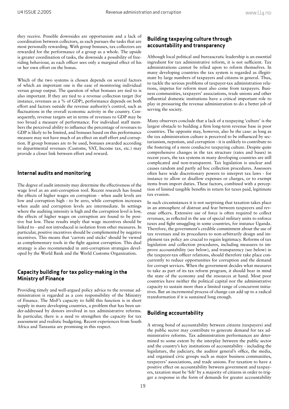they receive. Possible downsides are opportunism and a lack of coordination between collectors, as each pursues the tasks that are most personally rewarding. With group bonuses, tax collectors are rewarded for the performance of a group as a whole. The upside is greater coordination of tasks, the downside a possibility of freeriding behaviour, as each officer sees only a marginal effect of his or her own effort on the bonus.

Which of the two systems is chosen depends on several factors of which an important one is the ease of monitoring individual versus group output. The question of what bonuses are tied to is also important. If they are tied to a revenue collection target (for instance, revenues as a % of GDP), performance depends on both effort and factors outside the revenue authority's control, such as fluctuations in the overall economic activity in the country. Consequently, revenue targets set in terms of revenues to GDP may be too broad a measure of performance. For individual staff members the perceived ability to influence the percentage of revenues to GDP is likely to be limited, and bonuses based on this performance measure may not have much of an effect on staff effort and corruption. If group bonuses are to be used, bonuses awarded according to departmental revenues (Customs, VAT, Income tax, etc.) may provide a closer link between effort and reward.

#### **Internal audits and monitoring**

The degree of audit intensity may determine the effectiveness of the wage level as an anti-corruption tool. Recent research has found the effects of higher wages on corruption - when audit levels are low and corruption high - to be zero, while corruption increases when audit and corruption levels are intermediate. In settings where the auditing intensity is high and the corruption level is low, the effects of higher wages on corruption are found to be positive but low. These results imply that wage incentives should be linked to - and not introduced in isolation from other measures. In particular, positive incentives should be complemented by negative incentives. This means that 'carrots and sticks' should be viewed as complementary tools in the fight against corruption. This dual strategy is also recommended in anti-corruption strategies developed by the World Bank and the World Customs Organization.

#### **Capacity building for tax policy-making in the Ministry of Finance**

Providing timely and well-argued policy advice to the revenue administration is regarded as a core responsibility of the Ministry of Finance. The MoF's capacity to fulfil this function is in short supply in many developing countries, a problem that has been under-addressed by donors involved in tax administrative reforms. In particular, there is a need to strengthen the capacity for tax assessment and realistic budgeting. Recent experiences from South Africa and Tanzania are promising in this respect.

#### **Building taxpaying culture through accountability and transparency**

Although local political and bureaucratic leadership is an essential ingredient for tax administrative reform, it is not sufficient. Tax administrations cannot be relied upon to reform themselves. In many developing countries the tax system is regarded as illegitimate by large numbers of taxpayers and citizens in general. Thus, to tackle the serious problems of taxpayer-tax administration relations, impetus for reform must also come from taxpayers. Business communities, taxpayers' associations, trade unions and other influential domestic institutions have a critical important role to play in pressuring the revenue administration to do a better job of serving the society.

Many observers conclude that a lack of a taxpaying 'culture' is the largest obstacle to building a firm long-term revenue base in poor countries. The opposite may, however, also be the case: as long as the tax administration culture is perceived to be influenced by sectarianism, nepotism, and corruption - it is unlikely to contribute to the fostering of a more conducive taxpaying culture. Despite quite comprehensive changes in the tax structure (rates and bases) in recent years, the tax systems in many developing countries are still complicated and non-transparent. Tax legislation is unclear and causes random and partly ad hoc collection procedures. Assessors often have wide discretionary powers to interpret tax laws - for instance to allow or disallow expenses or charges, or to exempt items from import duties. These factors, combined with a perception of limited tangible benefits in return for taxes paid, legitimate tax evasion.

In such circumstances it is not surprising that taxation takes place in an atmosphere of distrust and fear between taxpayers and revenue officers. Extensive use of force is often required to collect revenues, as reflected in the use of special military units to enforce taxes and fight smuggling in some countries, for instance Uganda. Therefore, the government's credible commitment about the use of tax revenues and its procedures to non-arbitrarily design and implement tax policy are crucial to regain legitimacy. Reforms of tax legislation and collection procedures, including measures to improve accountability (see below), and transparency (see below) in the taxpayer-tax officer relations, should therefore take place concurrently to reduce opportunities for corruption and the demand for corrupt services. When the government decides what measures to take as part of its tax reform program, it should bear in mind the state of the economy and the resources at hand. Most poor countries have neither the political capital nor the administrative capacity to sustain more than a limited range of concurrent initiatives. But an incremental process of change can add up to a radical transformation if it is sustained long enough.

#### **Building accountability**

A strong bond of accountability between citizens (taxpayers) and the public sector may contribute to generate demand for tax administrative reforms. Tax administration performances are determined to some extent by the interplay between the public sector and the country's key institutions of accountability - including the legislature, the judiciary, the auditor general's office, the media, and organised civic groups such as major business communities, taxpayers' associations, and trade unions. For taxation to have a positive effect on accountability between government and taxpayers, taxation must be 'felt' by a majority of citizens in order to trigger a response in the form of demands for greater accountability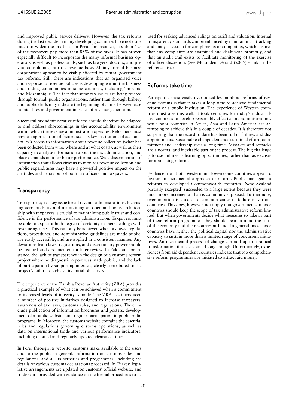and improved public service delivery. However, the tax reforms during the last decade in many developing countries have not done much to widen the tax base. In Peru, for instance, less than 1% of the taxpayers pay more than 85% of the taxes. It has proven especially difficult to incorporate the many informal business operators as well as professionals, such as lawyers, doctors, and private consultants, into the revenue base. Mainly formal business corporations appear to be visibly affected by central government tax reforms. Still, there are indications that an organised voice and response to revenue policies is developing within the business and trading communities in some countries, including Tanzania and Mozambique. The fact that some tax issues are being treated through formal, public organisations, rather than through bribery and public deals may indicate the beginning of a link between economic elites and government in issues of revenue generation.

Successful tax administrative reforms should therefore be adapted to and address shortcomings in the accountability environment within which the revenue administration operates. Reformers must have an appreciation of factors such as key institutions of accountability's access to information about revenue collection (what has been collected from who, where and at what costs), as well as their capacity to analyse information about the tax administration, and place demands on it for better performance. Wide dissemination of information that allows citizens to monitor revenue collection and public expenditures may have a powerful positive impact on the attitudes and behaviour of both tax officers and taxpayers.

#### **Transparency**

Transparency is a key issue for all revenue administrations. Increasing accountability and maintaining an open and honest relationship with taxpayers is crucial to maintaining public trust and confidence in the performance of tax administration. Taxpayers must be able to expect a high degree of certainty in their dealings with revenue agencies. This can only be achieved when tax laws, regulations, procedures, and administrative guidelines are made public, are easily accessible, and are applied in a consistent manner. Any deviations from laws, regulations, and discretionary power should be justified and documented for later review. In Pakistan, for instance, the lack of transparency in the design of a customs reform project where no diagnostic report was made public, and the lack of participation by supporting interests, clearly contributed to the project's failure to achieve its initial objectives.

The experience of the Zambia Revenue Authority (ZRA) provides a practical example of what can be achieved when a commitment to increased levels of integrity is made. The ZRA has introduced a number of positive initiatives designed to increase taxpayers' awareness of tax laws, customs rules, and regulations. These include publication of information brochures and posters, development of a public website, and regular participation in public radio programs. In Morocco, the customs website contains the essential rules and regulations governing customs operations, as well as data on international trade and various performance indicators, including detailed and regularly updated clearance times.

In Peru, through its website, customs make available to the users and to the public in general, information on customs rules and regulations, and all its activities and programmes, including the details of various customs declarations processed. In Turkey, legislative arrangements are updated on customs' official website, and traders are provided with guidance on the formal procedures to be used for seeking advanced rulings on tariff and valuation. Internal transparency standards can be enhanced by maintaining a tracking and analysis system for compliments or complaints, which ensures that any complaints are examined and dealt with promptly, and that an audit trail exists to facilitate monitoring of the exercise of officer discretion. (See McLinden, Gerald (2005) - link in the reference list.)

#### **Reforms take time**

Perhaps the most easily overlooked lesson about reforms of revenue systems is that it takes a long time to achieve fundamental reform of a public institution. The experience of Western countries illustrates this well. It took centuries for today's industrialised countries to develop reasonably effective tax administrations, while poor countries in Africa, Asia and Latin America are attempting to achieve this in a couple of decades. It is therefore not surprising that the record to date has been full of failures and disappointments. Sustainable change demands sustained effort, commitment and leadership over a long time. Mistakes and setbacks are a normal and inevitable part of the process. The big challenge is to use failures as learning opportunities, rather than as excuses for abolishing reforms.

Evidence from both Western and low-income countries appear to favour an incremental approach to reform. Public management reforms in developed Commonwealth countries (New Zealand partially excepted) succeeded to a large extent because they were much more incremental than is commonly supposed. Furthermore, over-ambition is cited as a common cause of failure in various countries. This does, however, not imply that governments in poor countries should keep the scope of tax administrative reform limited. But when governments decide what measures to take as part of their reform programmes, they should bear in mind the state of the economy and the resources at hand. In general, most poor countries have neither the political capital nor the administrative capacity to sustain more than a limited range of concurrent initiatives. An incremental process of change can add up to a radical transformation if it is sustained long enough. Unfortunately, experiences from aid dependent countries indicate that too comprehensive reform programmes are initiated to attract aid money.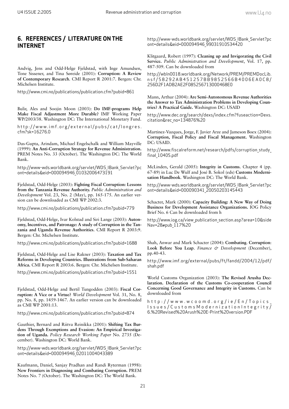# **6. REFERENCES / LITERATURE ON THE INTERNET**

Andvig, Jens and Odd-Helge Fjeldstad, with Inge Amundsen, Tone Sissener, and Tina Søreide (2001): **Corruption: A Review of Contemporary Research**. CMI Report R 2001:7. Bergen: Chr. Michelsen Institute.

http://www.cmi.no/publications/publication.cfm?pubid=861

Bulir, Ales and Soojin Moon (2003): **Do IMF-programs Help Make Fiscal Adjustment More Durable?** IMF Working Paper WP/2003/38. Washington DC: The International Monetary Fund.

http://www.imf.org/external/pubs/cat/longres. cfm?sk=16276.0

Das-Gupta, Arindam, Michael Engelschalk and William Mayville (1999): **An Anti-Corruption Strategy for Revenue Administration.** PREM Notes No. 33 (October). The Washington DC: The World Bank.

http://www-wds.worldbank.org/servlet/WDS\_IBank\_Servlet?pc ont=details&eid=000094946\_01032006473191

Fjeldstad, Odd-Helge (2003): **Fighting Fiscal Corruption: Lessons from the Tanzania Revenue Authority.** *Public Administration and Development* Vol. 23, No. 2 (May), pp. 165-175. An earlier version can be downloaded as CMI WP 2002:3.

http://www.cmi.no/publications/publication.cfm?pubid=779

Fjeldstad, Odd-Helge, Ivar Kolstad and Siri Lange (2003): **Autonomy, Incentives, and Patronage: A study of Corruption in the Tanzania and Uganda Revenue Authorities**. CMI Report R 2003:9. Bergen: Chr. Michelsen Institute.

http://www.cmi.no/publications/publication.cfm?pubid=1688

Fjeldstad, Odd-Helge and Lise Rakner (2003): **Taxation and Tax Reforms in Developing Countries. Illustrations from Sub-Saharan Africa.** CMI Report R 2003:6. Bergen: Chr. Michelsen Institute.

http://www.cmi.no/publications/publication.cfm?pubid=1551

Fjeldstad, Odd-Helge and Bertil Tungodden (2003): **Fiscal Corruption: A Vice or a Virtue?** *World Development* Vol. 31, No. 8, pp. No. 8, pp. 1459-1467. An earlier version can be downloaded as CMI WP 2001:13.

http://www.cmi.no/publications/publication.cfm?pubid=874

Gauthier, Bernard and Riitva Reinikka (2001): **Shifting Tax Burdens Through Exemptions and Evasion: An Empirical Investigation of Uganda.** *Policy Research Working Paper* No. 2735 (December). Washington DC: World Bank.

http://www-wds.worldbank.org/servlet/WDS\_IBank\_Servlet?pc ont=details&eid=000094946\_02011004043389

Kaufmann, Daniel, Sanjay Pradhan and Randi Ryterman (1998): **New Frontiers in Diagnosing and Combating Corruption.** PREM Notes No. 7 (October). The Washington DC: The World Bank.

http://www-wds.worldbank.org/servlet/WDS\_IBank\_Servlet?pc ont=details&eid=000094946\_99031910534420

Klitgaard, Robert (1997): **Cleaning up and Invigorating the Civil Service.** *Public Administration and Development*, Vol. 17, pp. 487-509. Can be downloaded from

http://wbln0018.worldbank.org/Network/PREM/PREMDocLib. nsf/58292AB451257BB9852566B4006EA0C8/ 256D2F1ADB2AE2F085256713000468E0

Mann, Arthur (2004): **Are Semi-Autonomous Revenue Authorities the Answer to Tax Administration Problems in Developing Countries? A Practical Guide.** Washington DC: USAID

http://www.dec.org/search/dexs/index.cfm?fuseaction=Dexs. citation&rec\_no=134876%20

Martinez-Vazques, Jorge, F. Javier Arze and Jameson Boex (2004): **Corruption, Fiscal Policy and Fiscal Management.** Washington DC: USAID.

http://www.fiscalreform.net/research/pdfs/corruption study final 10405.pdf

McLinden, Gerald (2005): **Integrity in Customs**. Chapter 4 (pp. 67-89) in Luc De Wulf and José B. Sokol (eds) **Customs Modernisation Handbook**. Washington DC: The World Bank.

http://www-wds.worldbank.org/servlet/WDS\_IBank\_Servlet?pc ont=details&eid=000090341\_20050203145443

Schacter, Mark (2000): **Capacity Building: A New Way of Doing Business for Development Assistance Organizations.** IOG Policy Brief No. 6 Can be downloaded from h

http://www.iog.ca/view\_publication\_section.asp?area=10&side Nav=28#pub\_117%20

Shah, Anwar and Mark Schacter (2004): **Combating**. **Corruption**: **Look Before You Leap**. *Finance & Development* (December), pp.40-43.

http://www.imf.org/external/pubs/ft/fandd/2004/12/pdf/ shah.pdf

World Customs Organization (2003): **The Revised Arusha Declaration. Declaration of the Customs Co-cooperation Council Concerning Good Governance and Integrity in Customs.** Can be downloaded from

http://www.wcoomd.org/ie/En/Topics\_ Issues/CustomsModernizationIntegrity/ 6.%20Revised%20Arush%20E-Print%20version.PDF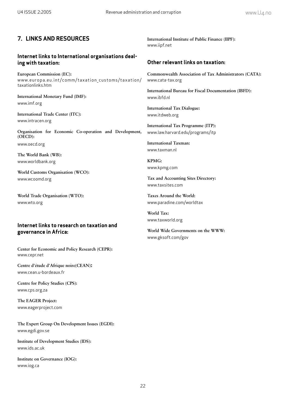# **7. LINKS AND RESOURCES**

## **Internet links to International organisations dealing with taxation:**

**European Commission (EC):** www.europa.eu.int/comm/taxation customs/taxation/ taxationlinks.htm

**International Monetary Fund (IMF):** www.imf.org

**International Trade Center (ITC):** www.intracen.org

**Organisation for Economic Co-operation and Development, (OECD):** 

www.oecd.org

**The World Bank (WB):** www.worldbank.org

**World Customs Organisation (WCO):** www.wcoomd.org

**World Trade Organisation (WTO):** www.wto.org

## **Internet links to research on taxation and governance in Africa:**

**Center for Economic and Policy Research (CEPR):** www.cepr.net

**Centre d'étude d'Afrique noire(CEAN):** www.cean.u-bordeaux.fr

**Centre for Policy Studies (CPS):** www.cps.org.za

**The EAGER Project:** www.eagerproject.com

**The Expert Group On Development Issues (EGDI):** www.egdi.gov.se

**Institute of Development Studies (IDS):** www.ids.ac.uk

**Institute on Governance (IOG):** www.iog.ca

**International Institute of Public Finance (IIPF):** www.iipf.net

### **Other relevant links on taxation:**

**Commonwealth Association of Tax Administrators (CATA):** www.cata-tax.org

**International Bureau for Fiscal Documentation (IBFD):** www.ibfd.nl

**International Tax Dialogue:** www.itdweb.org

**International Tax Programme (ITP):** www.law.harvard.edu/programs/itp

**International Taxman:** www.taxman.nl

**KPMG:** www.kpmg.com

**Tax and Accounting Sites Directory:** www.taxsites.com

**Taxes Around the World:** www.paradine.com/worldtax

**World Tax:** www.taxworld.org

**World Wide Governments on the WWW:** www.gksoft.com/gov